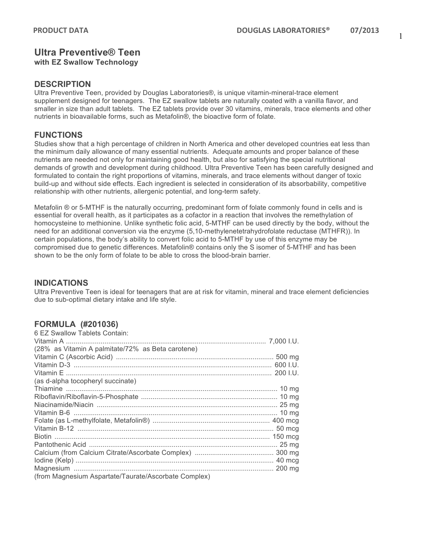1

# **Ultra Preventive® Teen with EZ Swallow Technology**

### **DESCRIPTION**

Ultra Preventive Teen, provided by Douglas Laboratories®, is unique vitamin-mineral-trace element supplement designed for teenagers. The EZ swallow tablets are naturally coated with a vanilla flavor, and smaller in size than adult tablets. The EZ tablets provide over 30 vitamins, minerals, trace elements and other nutrients in bioavailable forms, such as Metafolin®, the bioactive form of folate.

#### **FUNCTIONS**

Studies show that a high percentage of children in North America and other developed countries eat less than the minimum daily allowance of many essential nutrients. Adequate amounts and proper balance of these nutrients are needed not only for maintaining good health, but also for satisfying the special nutritional demands of growth and development during childhood. Ultra Preventive Teen has been carefully designed and formulated to contain the right proportions of vitamins, minerals, and trace elements without danger of toxic build-up and without side effects. Each ingredient is selected in consideration of its absorbability, competitive relationship with other nutrients, allergenic potential, and long-term safety.

Metafolin ® or 5-MTHF is the naturally occurring, predominant form of folate commonly found in cells and is essential for overall health, as it participates as a cofactor in a reaction that involves the remethylation of homocysteine to methionine. Unlike synthetic folic acid, 5-MTHF can be used directly by the body, without the need for an additional conversion via the enzyme (5,10-methylenetetrahydrofolate reductase (MTHFR)). In certain populations, the body's ability to convert folic acid to 5-MTHF by use of this enzyme may be compromised due to genetic differences. Metafolin® contains only the S isomer of 5-MTHF and has been shown to be the only form of folate to be able to cross the blood-brain barrier.

### **INDICATIONS**

Ultra Preventive Teen is ideal for teenagers that are at risk for vitamin, mineral and trace element deficiencies due to sub-optimal dietary intake and life style.

### **FORMULA (#201036)**

| 6 EZ Swallow Tablets Contain:                        |  |
|------------------------------------------------------|--|
|                                                      |  |
| (28% as Vitamin A palmitate/72% as Beta carotene)    |  |
|                                                      |  |
|                                                      |  |
|                                                      |  |
| (as d-alpha tocopheryl succinate)                    |  |
|                                                      |  |
|                                                      |  |
|                                                      |  |
|                                                      |  |
|                                                      |  |
|                                                      |  |
|                                                      |  |
|                                                      |  |
|                                                      |  |
|                                                      |  |
|                                                      |  |
| (from Magnesium Aspartate/Taurate/Ascorbate Complex) |  |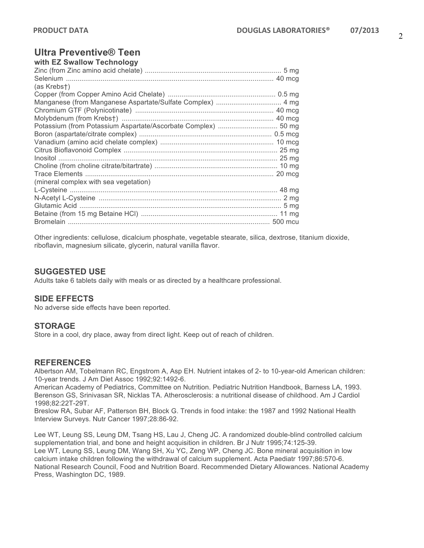#### **Ultra Preventive® Teen**  with **EZ Swallow Technology**

| WILLI EZ SWAIIOW TECHNOLOGY                                |  |
|------------------------------------------------------------|--|
|                                                            |  |
|                                                            |  |
| (as Krebst)                                                |  |
|                                                            |  |
| Manganese (from Manganese Aspartate/Sulfate Complex)  4 mg |  |
|                                                            |  |
|                                                            |  |
|                                                            |  |
|                                                            |  |
|                                                            |  |
|                                                            |  |
|                                                            |  |
|                                                            |  |
|                                                            |  |
| (mineral complex with sea vegetation)                      |  |
|                                                            |  |
|                                                            |  |
|                                                            |  |
|                                                            |  |
|                                                            |  |
|                                                            |  |

Other ingredients: cellulose, dicalcium phosphate, vegetable stearate, silica, dextrose, titanium dioxide, riboflavin, magnesium silicate, glycerin, natural vanilla flavor.

# **SUGGESTED USE**

Adults take 6 tablets daily with meals or as directed by a healthcare professional.

### **SIDE EFFECTS**

No adverse side effects have been reported.

# **STORAGE**

Store in a cool, dry place, away from direct light. Keep out of reach of children.

# **REFERENCES**

Albertson AM, Tobelmann RC, Engstrom A, Asp EH. Nutrient intakes of 2- to 10-year-old American children: 10-year trends. J Am Diet Assoc 1992;92:1492-6.

American Academy of Pediatrics, Committee on Nutrition. Pediatric Nutrition Handbook, Barness LA, 1993. Berenson GS, Srinivasan SR, Nicklas TA. Atherosclerosis: a nutritional disease of childhood. Am J Cardiol 1998;82:22T-29T.

Breslow RA, Subar AF, Patterson BH, Block G. Trends in food intake: the 1987 and 1992 National Health Interview Surveys. Nutr Cancer 1997;28:86-92.

Lee WT, Leung SS, Leung DM, Tsang HS, Lau J, Cheng JC. A randomized double-blind controlled calcium supplementation trial, and bone and height acquisition in children. Br J Nutr 1995;74:125-39. Lee WT, Leung SS, Leung DM, Wang SH, Xu YC, Zeng WP, Cheng JC. Bone mineral acquisition in low calcium intake children following the withdrawal of calcium supplement. Acta Paediatr 1997;86:570-6. National Research Council, Food and Nutrition Board. Recommended Dietary Allowances. National Academy Press, Washington DC, 1989.